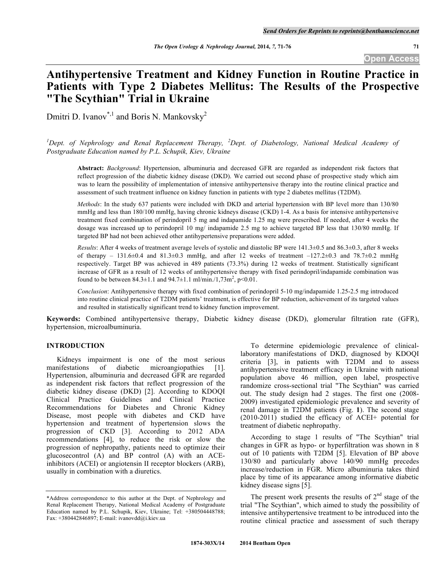**Open Access**

# **Antihypertensive Treatment and Kidney Function in Routine Practice in Patients with Type 2 Diabetes Mellitus: The Results of the Prospective "The Scythian" Trial in Ukraine**

Dmitri D. Ivanov<sup>\*,1</sup> and Boris N. Mankovsky<sup>2</sup>

<sup>1</sup>Dept. of Nephrology and Renal Replacement Therapy, <sup>2</sup>Dept. of Diabetology, National Medical Academy of *Postgraduate Education named by P.L. Schupik, Kiev, Ukraine*

**Abstract:** *Background*: Hypertension, albuminuria and decreased GFR are regarded as independent risk factors that reflect progression of the diabetic kidney disease (DKD). We carried out second phase of prospective study which aim was to learn the possibility of implementation of intensive antihypertensive therapy into the routine clinical practice and assessment of such treatment influence on kidney function in patients with type 2 diabetes mellitus (T2DM).

*Methods*: In the study 637 patients were included with DKD and arterial hypertension with BP level more than 130/80 mmHg and less than 180/100 mmHg, having chronic kidneys disease (CKD) 1-4. As a basis for intensive antihypertensive treatment fixed combination of perindopril 5 mg and indapamide 1.25 mg were prescribed. If needed, after 4 weeks the dosage was increased up to perindopril 10 mg/ indapamide 2.5 mg to achieve targeted BP less that 130/80 mmHg. If targeted BP had not been achieved other antihypertensive preparations were added.

*Results*: After 4 weeks of treatment average levels of systolic and diastolic BP were 141.3±0.5 and 86.3±0.3, after 8 weeks of therapy – 131.6 $\pm$ 0.4 and 81.3 $\pm$ 0.3 mmHg, and after 12 weeks of treatment –127.2 $\pm$ 0.3 and 78.7 $\pm$ 0.2 mmHg respectively. Target BP was achieved in 489 patients (73.3%) during 12 weeks of treatment. Statistically significant increase of GFR as a result of 12 weeks of antihypertensive therapy with fixed perindopril/indapamide combination was found to be between  $84.3 \pm 1.1$  and  $94.7 \pm 1.1$  ml/min./1,73m<sup>2</sup>, p<0.01.

*Conclusion*: Antihypertensive therapy with fixed combination of perindopril 5-10 mg/indapamide 1.25-2.5 mg introduced into routine clinical practice of T2DM patients' treatment, is effective for BP reduction, achievement of its targeted values and resulted in statistically significant trend to kidney function improvement.

**Keywords:** Combined antihypertensive therapy, Diabetic kidney disease (DKD), glomerular filtration rate (GFR), hypertension, microalbuminuria.

## **INTRODUCTION**

Kidneys impairment is one of the most serious manifestations of diabetic microangiopathies [1]. Hypertension, albuminuria and decreased GFR are regarded as independent risk factors that reflect progression of the diabetic kidney disease (DKD) [2]. According to KDOQI Clinical Practice Guidelines and Clinical Practice Recommendations for Diabetes and Chronic Kidney Disease, most people with diabetes and CKD have hypertension and treatment of hypertension slows the progression of CKD [3]. According to 2012 ADA recommendations [4], to reduce the risk or slow the progression of nephropathy, patients need to optimize their glucosecontrol (A) and BP control (A) with an ACEinhibitors (ACEI) or angiotensin II receptor blockers (ARB), usually in combination with a diuretics.

To determine epidemiologic prevalence of clinicallaboratory manifestations of DKD, diagnosed by KDOQI criteria [3], in patients with T2DM and to assess antihypertensive treatment efficacy in Ukraine with national population above 46 million, open label, prospective randomize cross-sectional trial "The Scythian" was carried out. The study design had 2 stages. The first one (2008- 2009) investigated epidemiologic prevalence and severity of renal damage in T2DM patients (Fig. **1**). The second stage (2010-2011) studied the efficacy of ACEI+ potential for treatment of diabetic nephropathy.

According to stage 1 results of "The Scythian" trial changes in GFR as hypo- or hyperfiltration was shown in 8 out of 10 patients with T2DM [5]. Elevation of BP above 130/80 and particularly above 140/90 mmHg precedes increase/reduction in FGR. Micro albuminuria takes third place by time of its appearance among informative diabetic kidney disease signs [5].

The present work presents the results of  $2<sup>nd</sup>$  stage of the trial "The Scythian", which aimed to study the possibility of intensive antihypertensive treatment to be introduced into the routine clinical practice and assessment of such therapy

<sup>\*</sup>Address correspondence to this author at the Dept. of Nephrology and Renal Replacement Therapy, National Medical Academy of Postgraduate Education named by P.L. Schupik, Kiev, Ukraine; Tel: +380504448788; Fax: +380442846897; E-mail: ivanovdd@i.kiev.ua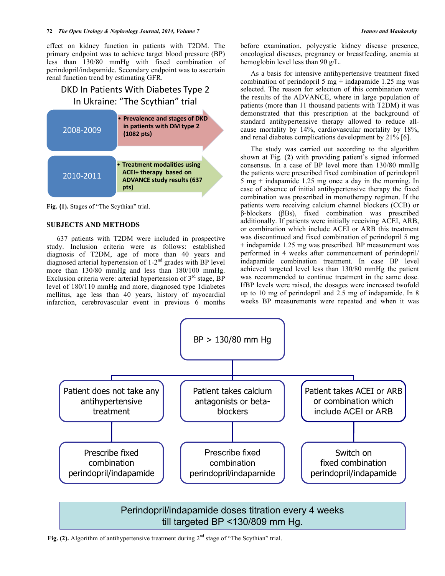effect on kidney function in patients with T2DM. The primary endpoint was to achieve target blood pressure (BP) less than 130/80 mmHg with fixed combination of perindopril/indapamide. Secondary endpoint was to ascertain renal function trend by estimating GFR.

## DKD In Patients With Diabetes Type 2 In Ukraine: "The Scythian" trial



**Fig. (1).** Stages of "The Scythian" trial.

## **SUBJECTS AND METHODS**

637 patients with T2DM were included in prospective study. Inclusion criteria were as follows: established diagnosis of T2DM, age of more than 40 years and diagnosed arterial hypertension of 1-2<sup>nd</sup> grades with BP level more than 130/80 mmHg and less than 180/100 mmHg. Exclusion criteria were: arterial hypertension of  $3<sup>rd</sup>$  stage, BP level of 180/110 mmHg and more, diagnosed type 1diabetes mellitus, age less than 40 years, history of myocardial infarction, cerebrovascular event in previous 6 months before examination, polycystic kidney disease presence, oncological diseases, pregnancy or breastfeeding, anemia at hemoglobin level less than 90 g/L.

As a basis for intensive antihypertensive treatment fixed combination of perindopril 5 mg + indapamide 1.25 mg was selected. The reason for selection of this combination were the results of the ADVANCE, where in large population of patients (more than 11 thousand patients with T2DM) it was demonstrated that this prescription at the background of standard antihypertensive therapy allowed to reduce allcause mortality by 14%, cardiovascular mortality by 18%, and renal diabetes complications development by 21% [6].

The study was carried out according to the algorithm shown at Fig. (**2**) with providing patient's signed informed consensus. In a case of BP level more than 130/80 mmHg the patients were prescribed fixed combination of perindopril 5 mg + indapamide 1.25 mg once a day in the morning. In case of absence of initial antihypertensive therapy the fixed combination was prescribed in monotherapy regimen. If the patients were receiving calcium channel blockers (CCB) or β-blockers (βBs), fixed combination was prescribed additionally. If patients were initially receiving ACEI, ARB, or combination which include ACEI or ARB this treatment was discontinued and fixed combination of perindopril 5 mg + indapamide 1.25 mg was prescribed. BP measurement was performed in 4 weeks after commencement of perindopril/ indapamide combination treatment. In case BP level achieved targeted level less than 130/80 mmHg the patient was recommended to continue treatment in the same dose. IfBP levels were raised, the dosages were increased twofold up to 10 mg of perindopril and 2.5 mg of indapamide. In 8 weeks BP measurements were repeated and when it was



## Perindopril/indapamide doses titration every 4 weeks till targeted BP <130/809 mm Hg.

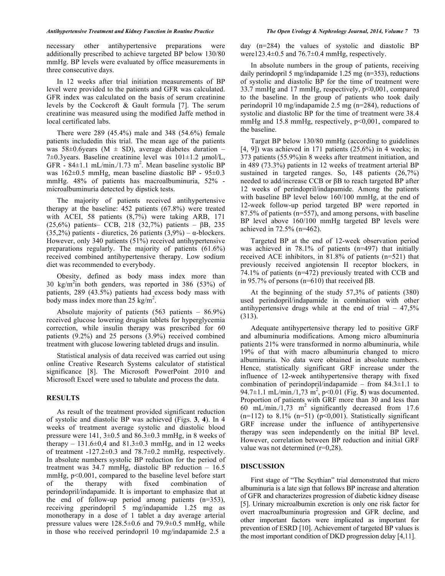necessary other antihypertensive preparations were additionally prescribed to achieve targeted BP below 130/80 mmHg. BP levels were evaluated by office measurements in three consecutive days.

In 12 weeks after trial initiation measurements of BP level were provided to the patients and GFR was calculated. GFR index was calculated on the basis of serum creatinine levels by the Cockcroft & Gault formula [7]. The serum creatinine was measured using the modified Jaffe method in local certificated labs.

There were 289 (45.4%) male and 348 (54.6%) female patients includedin this trial. The mean age of the patients was 58 $\pm$ 0.6years (M  $\pm$  SD), average diabetes duration – 7±0.3years. Baseline creatinine level was 101±1.2 µmol/L, GFR -  $84 \pm 1.1$  mL/min./1.73 m<sup>2</sup>. Mean baseline systolic BP was 162±0.5 mmHg, mean baseline diastolic BP - 95±0.3 mmHg. 48% of patients has macroalbuminuria, 52% microalbuminuria detected by dipstick tests.

The majority of patients received antihypertensive therapy at the baseline: 452 patients (67.8%) were treated with ACEI, 58 patients (8,7%) were taking ARB, 171 (25,6%) patients– CCB, 218 (32,7%) patients – βB, 235 (35,2%) patients - diuretics, 26 patients (3,9%) –  $\alpha$ -blockers. However, only 340 patients (51%) received antihypertensive preparations regularly. The majority of patients (61.6%) received combined antihypertensive therapy. Low sodium diet was recommended to everybody.

Obesity, defined as body mass index more than 30 kg/m<sup>2</sup> in both genders, was reported in 386 (53%) of patients, 289 (43.5%) patients had excess body mass with body mass index more than  $25 \text{ kg/m}^2$ .

Absolute majority of patients (563 patients – 86.9%) received glucose lowering drugsin tablets for hyperglycemia correction, while insulin therapy was prescribed for 60 patients (9.2%) and 25 persons (3.9%) received combined treatment with glucose lowering tableted drugs and insulin.

Statistical analysis of data received was carried out using online Creative Research Systems calculator of statistical significance [8]. The Microsoft PowerPoint 2010 and Microsoft Excel were used to tabulate and process the data.

## **RESULTS**

As result of the treatment provided significant reduction of systolic and diastolic BP was achieved (Figs. **3**, **4**). In 4 weeks of treatment average systolic and diastolic blood pressure were 141,  $3\pm 0.5$  and  $86.3\pm 0.3$  mmHg, in 8 weeks of therapy – 131.6 $\pm$ 0,4 and 81.3 $\pm$ 0.3 mmHg, and in 12 weeks of treatment -127.2±0.3 and 78.7±0.2 mmHg, respectively. In absolute numbers systolic BP reduction for the period of treatment was 34.7 mmHg, diastolic BP reduction – 16.5 mmHg, p<0.001, compared to the baseline level before start of the therapy with fixed combination of perindopril/indapamide. It is important to emphasize that at the end of follow-up period among patients (n=353), receiving gperindopril 5 mg/indapamide 1.25 mg as monotherapy in a dose of 1 tablet a day average arterial pressure values were  $128.5\pm0.6$  and  $79.9\pm0.5$  mmHg, while in those who received perindopril 10 mg/indapamide 2.5 a

day (n=284) the values of systolic and diastolic BP were123.4 $\pm$ 0.5 and 76.7 $\pm$ 0.4 mmHg, respectively.

In absolute numbers in the group of patients, receiving daily perindopril 5 mg/indapamide 1.25 mg (n=353), reductions of systolic and diastolic BP for the time of treatment were 33.7 mmHg and 17 mmHg, respectively,  $p<0,001$ , compared to the baseline. In the group of patients who took daily perindopril 10 mg/indapamide 2.5 mg (n=284), reductions of systolic and diastolic BP for the time of treatment were 38.4 mmHg and 15.8 mmHg, respectively,  $p<0,001$ , compared to the baseline.

Target BP below 130/80 mmHg (according to guidelines  $[4, 9]$ ) was achieved in 171 patients  $(25.6\%)$  in 4 weeks; in 373 patients (55.9%)in 8 weeks after treatment initiation, and in 489 (73.3%) patients in 12 weeks of treatment arterial BP sustained in targeted ranges. So, 148 patients (26,7%) needed to add/increase CCB or βB to reach targeted BP after 12 weeks of perindopril/indapamide. Among the patients with baseline BP level below 160/100 mmHg, at the end of 12-week follow-up period targeted BP were reported in 87.5% of patients (n=557), and among persons, with baseline BP level above 160/100 mmHg targeted BP levels were achieved in 72.5% (n=462).

Targeted BP at the end of 12-week observation period was achieved in 78.1% of patients (n=497) that initially received ACE inhibitors, in 81.8% of patients (n=521) that previously received angiotensin II receptor blockers, in 74.1% of patients (n=472) previously treated with CCB and in 95.7% of persons (n=610) that received  $\beta$ B.

At the beginning of the study 57,3% of patients (380) used perindopril/indapamide in combination with other antihypertensive drugs while at the end of trial  $-47,5\%$ (313).

Adequate antihypertensive therapy led to positive GRF and albuminuria modifications. Among micro albuminuria patients 21% were transformed in normo albuminuria, while 19% of that with macro albuminuria changed to micro albuminuria. No data were obtained in absolute numbers. Hence, statistically significant GRF increase under the influence of 12-week antihypertensive therapy with fixed combination of perindopril/indapamide – from  $84.3 \pm 1.1$  to 94.7 $\pm$ 1.1 mL/min./1,73 m<sup>2</sup>, p<0.01 (Fig. 5) was documented. Proportion of patients with GRF more than 30 and less than 60 mL/min./ $1,73$  m<sup>2</sup> significantly decreased from 17.6  $(n=112)$  to 8.1%  $(n=51)$   $(p<0,001)$ . Statistically significant GRF increase under the influence of antihypertensive therapy was seen independently on the initial BP level. However, correlation between BP reduction and initial GRF value was not determined (r=0,28).

#### **DISCUSSION**

First stage of "The Scythian" trial demonstrated that micro albuminuria is a late sign that follows BP increase and alteration of GFR and characterizes progression of diabetic kidney disease [5]. Urinary microalbumin excretion is only one risk factor for overt macroalbuminuria progression and GFR decline, and other important factors were implicated as important for prevention of ESRD [10]. Achievement of targeted BP values is the most important condition of DKD progression delay [4,11].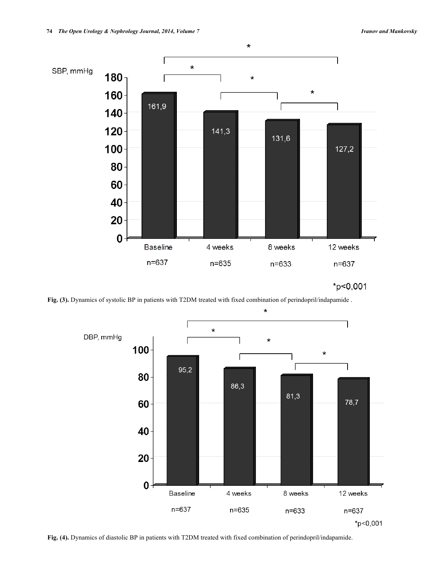

 $*_{p<0,001}$ 

Fig. (3). Dynamics of systolic BP in patients with T2DM treated with fixed combination of perindopril/indapamide .



**Fig. (4).** Dynamics of diastolic BP in patients with T2DM treated with fixed combination of perindopril/indapamide.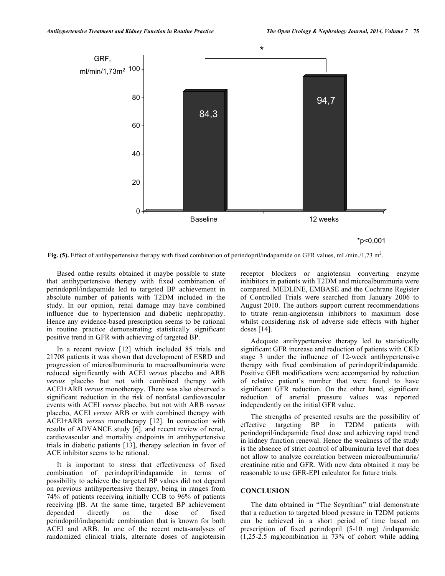



Fig. (5). Effect of antihypertensive therapy with fixed combination of perindopril/indapamide on GFR values, mL/min./1,73 m<sup>2</sup>.

Based onthe results obtained it maybe possible to state that antihypertensive therapy with fixed combination of perindopril/indapamide led to targeted BP achievement in absolute number of patients with T2DM included in the study. In our opinion, renal damage may have combined influence due to hypertension and diabetic nephropathy. Hence any evidence-based prescription seems to be rational in routine practice demonstrating statistically significant positive trend in GFR with achieving of targeted BP.

In a recent review [12] which included 85 trials and 21708 patients it was shown that development of ESRD and progression of microalbuminuria to macroalbuminuria were reduced significantly with ACEI *versus* placebo and ARB *versus* placebo but not with combined therapy with ACEI+ARB *versus* monotherapy. There was also observed a significant reduction in the risk of nonfatal cardiovascular events with ACEI *versus* placebo, but not with ARB *versus* placebo, ACEI *versus* ARB or with combined therapy with ACEI+ARB *versus* monotherapy [12]. In connection with results of ADVANCE study [6], and recent review of renal, cardiovascular and mortality endpoints in antihypertensive trials in diabetic patients [13], therapy selection in favor of ACE inhibitor seems to be rational.

It is important to stress that effectiveness of fixed combination of perindopril/indapamide in terms of possibility to achieve the targeted BP values did not depend on previous antihypertensive therapy, being in ranges from 74% of patients receiving initially ССВ to 96% of patients receiving βB. At the same time, targeted BP achievement depended directly on the dose of fixed perindopril/indapamide combination that is known for both ACEI and ARB. In one of the recent meta-analyses of randomized clinical trials, alternate doses of angiotensin

receptor blockers or angiotensin converting enzyme inhibitors in patients with T2DM and microalbuminuria were compared. MEDLINE, EMBASE and the Cochrane Register of Controlled Trials were searched from January 2006 to August 2010. The authors support current recommendations to titrate renin-angiotensin inhibitors to maximum dose whilst considering risk of adverse side effects with higher doses [14].

Adequate antihypertensive therapy led to statistically significant GFR increase and reduction of patients with CKD stage 3 under the influence of 12-week antihypertensive therapy with fixed combination of perindopril/indapamide. Positive GFR modifications were accompanied by reduction of relative patient's number that were found to have significant GFR reduction. On the other hand, significant reduction of arterial pressure values was reported independently on the initial GFR value.

The strengths of presented results are the possibility of effective targeting BP in T2DM patients with perindopril/indapamide fixed dose and achieving rapid trend in kidney function renewal. Hence the weakness of the study is the absence of strict control of albuminuria level that does not allow to analyze correlation between microalbuminuria/ creatinine ratio and GFR. With new data obtained it may be reasonable to use GFR-EPI calculator for future trials.

## **CONCLUSION**

The data obtained in "The Scynthian" trial demonstrate that a reduction to targeted blood pressure in T2DM patients can be achieved in a short period of time based on prescription of fixed perindopril (5-10 mg) /indapamide (1,25-2.5 mg)combination in 73% of cohort while adding